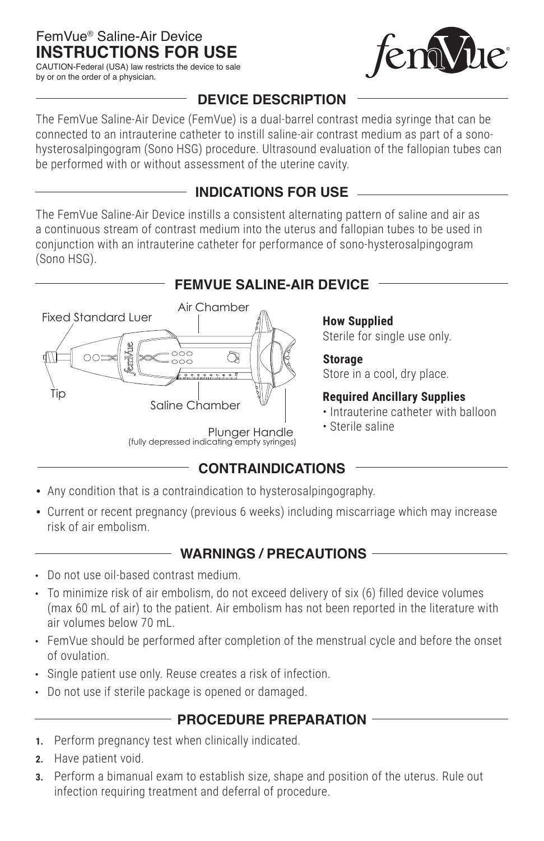# **INSTRUCTIONS FOR USE** FemVue® Saline-Air Device

CAUTION-Federal (USA) law restricts the device to sale by or on the order of a physician.



## **DEVICE DESCRIPTION**

The FemVue Saline-Air Device (FemVue) is a dual-barrel contrast media syringe that can be connected to an intrauterine catheter to instill saline-air contrast medium as part of a sonohysterosalpingogram (Sono HSG) procedure. Ultrasound evaluation of the fallopian tubes can be performed with or without assessment of the uterine cavity.

## **INDICATIONS FOR USE**

The FemVue Saline-Air Device instills a consistent alternating pattern of saline and air as a continuous stream of contrast medium into the uterus and fallopian tubes to be used in conjunction with an intrauterine catheter for performance of sono-hysterosalpingogram (Sono HSG).

## **FEMVUE SALINE-AIR DEVICE**



# **How Supplied**

Sterile for single use only.

### **Storage**

Store in a cool, dry place.

### **Required Ancillary Supplies**

- Intrauterine catheter with balloon
- Sterile saline

Plunger Handle (fully depressed indicating empty syringes)

## **CONTRAINDICATIONS**

- Any condition that is a contraindication to hysterosalpingography.
- Current or recent pregnancy (previous 6 weeks) including miscarriage which may increase risk of air embolism.

## **WARNINGS / PRECAUTIONS**

- **•** Do not use oil-based contrast medium.
- **•** To minimize risk of air embolism, do not exceed delivery of six (6) filled device volumes (max 60 mL of air) to the patient. Air embolism has not been reported in the literature with air volumes below 70 mL.
- **•** FemVue should be performed after completion of the menstrual cycle and before the onset of ovulation.
- **•** Single patient use only. Reuse creates a risk of infection.
- **•** Do not use if sterile package is opened or damaged.

## **PROCEDURE PREPARATION**

- **1.** Perform pregnancy test when clinically indicated.
- **2.** Have patient void.
- **3.** Perform a bimanual exam to establish size, shape and position of the uterus. Rule out infection requiring treatment and deferral of procedure.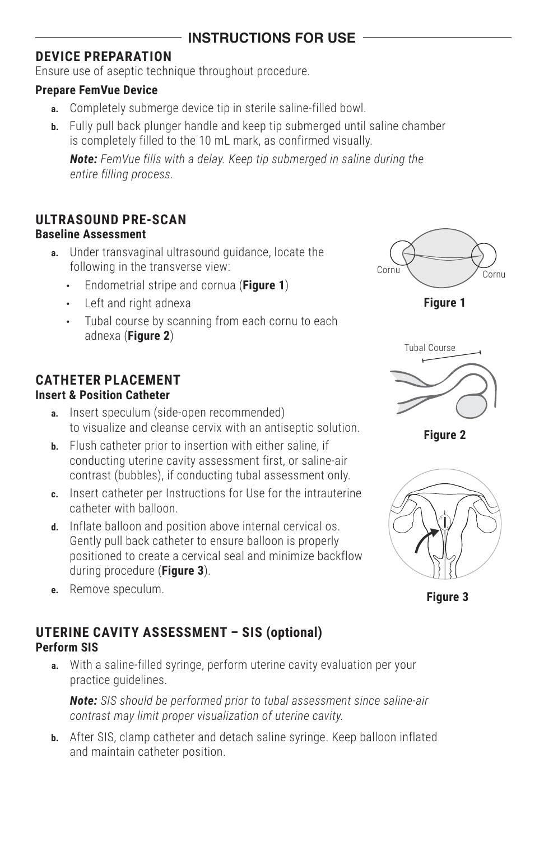## **INSTRUCTIONS FOR USE**

## **DEVICE PREPARATION**

Ensure use of aseptic technique throughout procedure.

### **Prepare FemVue Device**

- **a.** Completely submerge device tip in sterile saline-filled bowl.
- **b.** Fully pull back plunger handle and keep tip submerged until saline chamber is completely filled to the 10 mL mark, as confirmed visually.

*Note: FemVue fills with a delay. Keep tip submerged in saline during the entire filling process.* 

## **ULTRASOUND PRE-SCAN**

### **Baseline Assessment**

- **a.** Under transvaginal ultrasound guidance, locate the following in the transverse view:
	- **•** Endometrial stripe and cornua (**Figure 1**)
	- **•** Left and right adnexa
	- **•** Tubal course by scanning from each cornu to each adnexa (**Figure 2**)

# **CATHETER PLACEMENT**

### **Insert & Position Catheter**

- **a.** Insert speculum (side-open recommended) to visualize and cleanse cervix with an antiseptic solution.
- **b.** Flush catheter prior to insertion with either saline, if conducting uterine cavity assessment first, or saline-air contrast (bubbles), if conducting tubal assessment only.
- **c.** Insert catheter per Instructions for Use for the intrauterine catheter with balloon.
- **d.** Inflate balloon and position above internal cervical os. Gently pull back catheter to ensure balloon is properly positioned to create a cervical seal and minimize backflow during procedure (**Figure 3**).
- **e.** Remove speculum.

## **Perform SIS UTERINE CAVITY ASSESSMENT – SIS (optional)**

**a.** With a saline-filled syringe, perform uterine cavity evaluation per your practice guidelines.

*Note: SIS should be performed prior to tubal assessment since saline-air contrast may limit proper visualization of uterine cavity.*

**b.** After SIS, clamp catheter and detach saline syringe. Keep balloon inflated and maintain catheter position.



**Figure 1**



**Figure 2**



**Figure 3**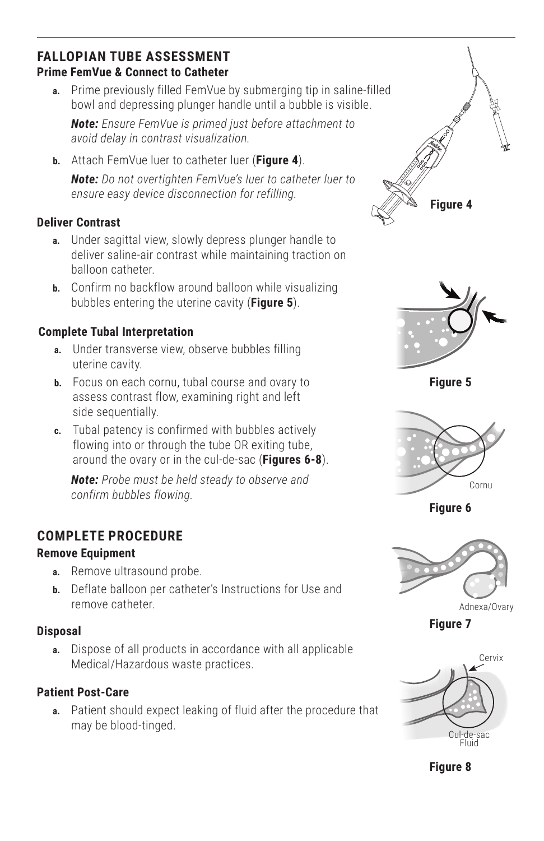## **FALLOPIAN TUBE ASSESSMENT Prime FemVue & Connect to Catheter**

**a.** Prime previously filled FemVue by submerging tip in saline-filled bowl and depressing plunger handle until a bubble is visible.

*Note: Ensure FemVue is primed just before attachment to avoid delay in contrast visualization.*

**b.** Attach FemVue luer to catheter luer (**Figure 4**).

*Note: Do not overtighten FemVue's luer to catheter luer to ensure easy device disconnection for refilling.* 

## **Deliver Contrast**

- **a.** Under sagittal view, slowly depress plunger handle to deliver saline-air contrast while maintaining traction on balloon catheter.
- **b.** Confirm no backflow around balloon while visualizing bubbles entering the uterine cavity (**Figure 5**).

## **Complete Tubal Interpretation**

- **a.** Under transverse view, observe bubbles filling uterine cavity.
- **b.** Focus on each cornu, tubal course and ovary to assess contrast flow, examining right and left side sequentially.
- **c.** Tubal patency is confirmed with bubbles actively flowing into or through the tube OR exiting tube, around the ovary or in the cul-de-sac (**Figures 6-8**).

*Note: Probe must be held steady to observe and confirm bubbles flowing.*

# **COMPLETE PROCEDURE**

### **Remove Equipment**

- **a.** Remove ultrasound probe.
- **b.** Deflate balloon per catheter's Instructions for Use and remove catheter.

### **Disposal**

**a.** Dispose of all products in accordance with all applicable Medical/Hazardous waste practices.

## **Patient Post-Care**

**a.** Patient should expect leaking of fluid after the procedure that may be blood-tinged.





**Figure 5**



**Figure 6**



Adnexa/Ovary

**Figure 7**